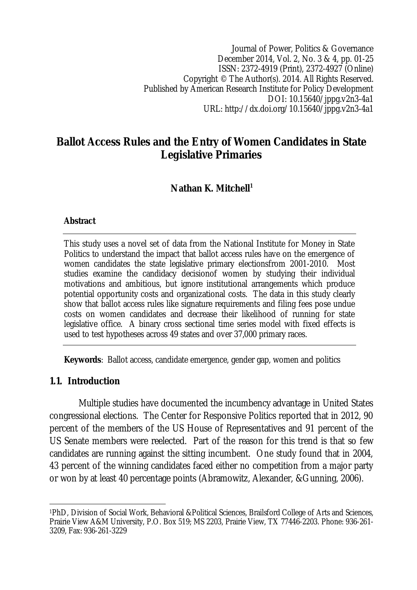Journal of Power, Politics & Governance December 2014, Vol. 2, No. 3 & 4, pp. 01-25 ISSN: 2372-4919 (Print), 2372-4927 (Online) Copyright © The Author(s). 2014. All Rights Reserved. Published by American Research Institute for Policy Development DOI: 10.15640/jppg.v2n3-4a1 URL: http://dx.doi.org/10.15640/jppg.v2n3-4a1

# **Ballot Access Rules and the Entry of Women Candidates in State Legislative Primaries**

# **Nathan K. Mitchell<sup>1</sup>**

### **Abstract**

This study uses a novel set of data from the National Institute for Money in State Politics to understand the impact that ballot access rules have on the emergence of women candidates the state legislative primary electionsfrom 2001-2010. Most studies examine the candidacy decisionof women by studying their individual motivations and ambitious, but ignore institutional arrangements which produce potential opportunity costs and organizational costs. The data in this study clearly show that ballot access rules like signature requirements and filing fees pose undue costs on women candidates and decrease their likelihood of running for state legislative office. A binary cross sectional time series model with fixed effects is used to test hypotheses across 49 states and over 37,000 primary races.

**Keywords**: Ballot access, candidate emergence, gender gap, women and politics

#### **1.1. Introduction**

Multiple studies have documented the incumbency advantage in United States congressional elections. The Center for Responsive Politics reported that in 2012, 90 percent of the members of the US House of Representatives and 91 percent of the US Senate members were reelected. Part of the reason for this trend is that so few candidates are running against the sitting incumbent. One study found that in 2004, 43 percent of the winning candidates faced either no competition from a major party or won by at least 40 percentage points (Abramowitz, Alexander, &Gunning, 2006).

 $\overline{\phantom{a}}$ <sup>1</sup>PhD, Division of Social Work, Behavioral &Political Sciences, Brailsford College of Arts and Sciences, Prairie View A&M University, P.O. Box 519; MS 2203, Prairie View, TX 77446-2203. Phone: 936-261- 3209, Fax: 936-261-3229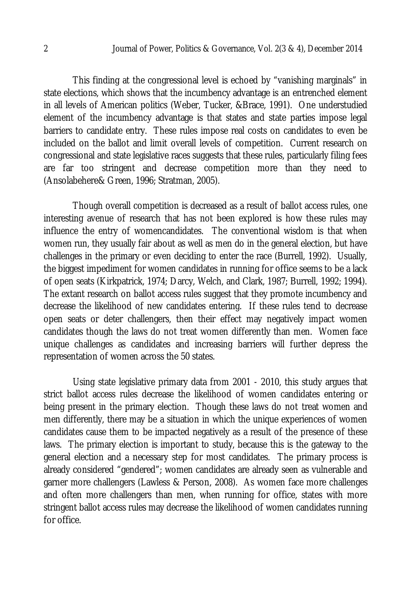This finding at the congressional level is echoed by "vanishing marginals" in state elections, which shows that the incumbency advantage is an entrenched element in all levels of American politics (Weber, Tucker, &Brace, 1991). One understudied element of the incumbency advantage is that states and state parties impose legal barriers to candidate entry. These rules impose real costs on candidates to even be included on the ballot and limit overall levels of competition. Current research on congressional and state legislative races suggests that these rules, particularly filing fees are far too stringent and decrease competition more than they need to (Ansolabehere& Green, 1996; Stratman, 2005).

Though overall competition is decreased as a result of ballot access rules, one interesting avenue of research that has not been explored is how these rules may influence the entry of womencandidates. The conventional wisdom is that when women run, they usually fair about as well as men do in the general election, but have challenges in the primary or even deciding to enter the race (Burrell, 1992). Usually, the biggest impediment for women candidates in running for office seems to be a lack of open seats (Kirkpatrick, 1974; Darcy, Welch, and Clark, 1987; Burrell, 1992; 1994). The extant research on ballot access rules suggest that they promote incumbency and decrease the likelihood of new candidates entering. If these rules tend to decrease open seats or deter challengers, then their effect may negatively impact women candidates though the laws do not treat women differently than men. Women face unique challenges as candidates and increasing barriers will further depress the representation of women across the 50 states.

Using state legislative primary data from 2001 - 2010, this study argues that strict ballot access rules decrease the likelihood of women candidates entering or being present in the primary election. Though these laws do not treat women and men differently, there may be a situation in which the unique experiences of women candidates cause them to be impacted negatively as a result of the presence of these laws. The primary election is important to study, because this is the gateway to the general election and a necessary step for most candidates. The primary process is already considered "gendered"; women candidates are already seen as vulnerable and garner more challengers (Lawless & Person, 2008). As women face more challenges and often more challengers than men, when running for office, states with more stringent ballot access rules may decrease the likelihood of women candidates running for office.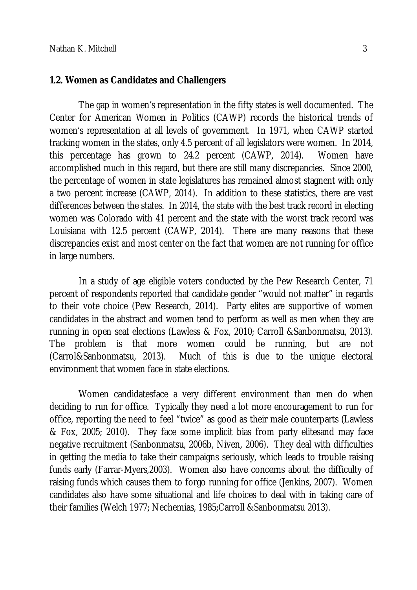#### **1.2. Women as Candidates and Challengers**

The gap in women's representation in the fifty states is well documented. The Center for American Women in Politics (CAWP) records the historical trends of women's representation at all levels of government. In 1971, when CAWP started tracking women in the states, only 4.5 percent of all legislators were women. In 2014, this percentage has grown to 24.2 percent (CAWP, 2014). Women have accomplished much in this regard, but there are still many discrepancies. Since 2000, the percentage of women in state legislatures has remained almost stagnent with only a two percent increase (CAWP, 2014). In addition to these statistics, there are vast differences between the states. In 2014, the state with the best track record in electing women was Colorado with 41 percent and the state with the worst track record was Louisiana with 12.5 percent (CAWP, 2014). There are many reasons that these discrepancies exist and most center on the fact that women are not running for office in large numbers.

In a study of age eligible voters conducted by the Pew Research Center, 71 percent of respondents reported that candidate gender "would not matter" in regards to their vote choice (Pew Research, 2014). Party elites are supportive of women candidates in the abstract and women tend to perform as well as men when they are running in open seat elections (Lawless & Fox, 2010; Carroll &Sanbonmatsu, 2013). The problem is that more women could be running, but are not (Carrol&Sanbonmatsu, 2013). Much of this is due to the unique electoral environment that women face in state elections.

Women candidatesface a very different environment than men do when deciding to run for office. Typically they need a lot more encouragement to run for office, reporting the need to feel "twice" as good as their male counterparts (Lawless & Fox, 2005; 2010). They face some implicit bias from party elitesand may face negative recruitment (Sanbonmatsu, 2006b, Niven, 2006). They deal with difficulties in getting the media to take their campaigns seriously, which leads to trouble raising funds early (Farrar-Myers,2003). Women also have concerns about the difficulty of raising funds which causes them to forgo running for office (Jenkins, 2007). Women candidates also have some situational and life choices to deal with in taking care of their families (Welch 1977; Nechemias, 1985;Carroll &Sanbonmatsu 2013).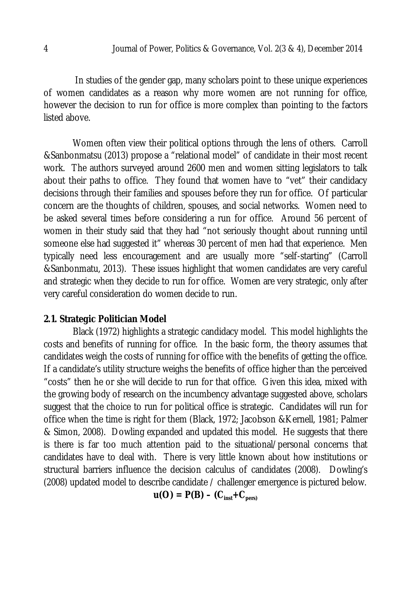In studies of the gender gap, many scholars point to these unique experiences of women candidates as a reason why more women are not running for office, however the decision to run for office is more complex than pointing to the factors listed above.

Women often view their political options through the lens of others. Carroll &Sanbonmatsu (2013) propose a "relational model" of candidate in their most recent work. The authors surveyed around 2600 men and women sitting legislators to talk about their paths to office. They found that women have to "vet" their candidacy decisions through their families and spouses before they run for office. Of particular concern are the thoughts of children, spouses, and social networks. Women need to be asked several times before considering a run for office. Around 56 percent of women in their study said that they had "not seriously thought about running until someone else had suggested it" whereas 30 percent of men had that experience. Men typically need less encouragement and are usually more "self-starting" (Carroll &Sanbonmatu, 2013). These issues highlight that women candidates are very careful and strategic when they decide to run for office. Women are very strategic, only after very careful consideration do women decide to run.

### **2.1. Strategic Politician Model**

Black (1972) highlights a strategic candidacy model. This model highlights the costs and benefits of running for office. In the basic form, the theory assumes that candidates weigh the costs of running for office with the benefits of getting the office. If a candidate's utility structure weighs the benefits of office higher than the perceived "costs" then he or she will decide to run for that office. Given this idea, mixed with the growing body of research on the incumbency advantage suggested above, scholars suggest that the choice to run for political office is strategic. Candidates will run for office when the time is right for them (Black, 1972; Jacobson &Kernell, 1981; Palmer & Simon, 2008). Dowling expanded and updated this model. He suggests that there is there is far too much attention paid to the situational/personal concerns that candidates have to deal with. There is very little known about how institutions or structural barriers influence the decision calculus of candidates (2008). Dowling's (2008) updated model to describe candidate / challenger emergence is pictured below.

 $u(O) = P(B) - (C_{inst} + C_{pers})$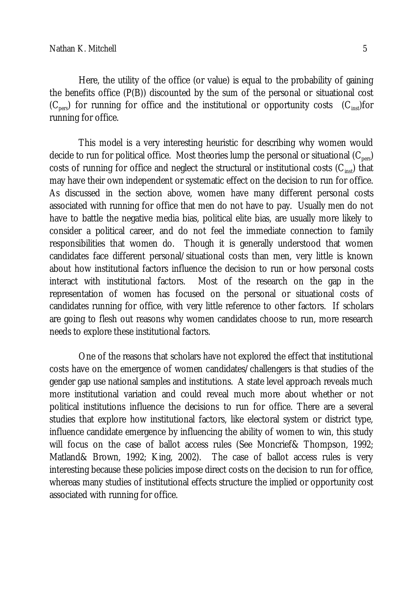Here, the utility of the office (or value) is equal to the probability of gaining the benefits office (P(B)) discounted by the sum of the personal or situational cost  $(C_{\text{next}})$  for running for office and the institutional or opportunity costs  $(C_{\text{inst}})$ for running for office.

This model is a very interesting heuristic for describing why women would decide to run for political office. Most theories lump the personal or situational  $(C_{\text{ner}})$ costs of running for office and neglect the structural or institutional costs  $(C_{inst})$  that may have their own independent or systematic effect on the decision to run for office. As discussed in the section above, women have many different personal costs associated with running for office that men do not have to pay. Usually men do not have to battle the negative media bias, political elite bias, are usually more likely to consider a political career, and do not feel the immediate connection to family responsibilities that women do. Though it is generally understood that women candidates face different personal/situational costs than men, very little is known about how institutional factors influence the decision to run or how personal costs interact with institutional factors. Most of the research on the gap in the representation of women has focused on the personal or situational costs of candidates running for office, with very little reference to other factors. If scholars are going to flesh out reasons why women candidates choose to run, more research needs to explore these institutional factors.

One of the reasons that scholars have not explored the effect that institutional costs have on the emergence of women candidates/challengers is that studies of the gender gap use national samples and institutions. A state level approach reveals much more institutional variation and could reveal much more about whether or not political institutions influence the decisions to run for office. There are a several studies that explore how institutional factors, like electoral system or district type, influence candidate emergence by influencing the ability of women to win, this study will focus on the case of ballot access rules (See Moncrief& Thompson, 1992; Matland& Brown, 1992; King, 2002). The case of ballot access rules is very interesting because these policies impose direct costs on the decision to run for office, whereas many studies of institutional effects structure the implied or opportunity cost associated with running for office.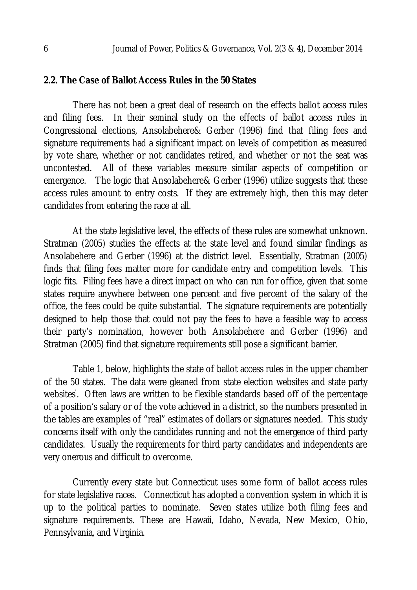#### **2.2. The Case of Ballot Access Rules in the 50 States**

There has not been a great deal of research on the effects ballot access rules and filing fees. In their seminal study on the effects of ballot access rules in Congressional elections, Ansolabehere& Gerber (1996) find that filing fees and signature requirements had a significant impact on levels of competition as measured by vote share, whether or not candidates retired, and whether or not the seat was uncontested. All of these variables measure similar aspects of competition or emergence. The logic that Ansolabehere& Gerber (1996) utilize suggests that these access rules amount to entry costs. If they are extremely high, then this may deter candidates from entering the race at all.

At the state legislative level, the effects of these rules are somewhat unknown. Stratman (2005) studies the effects at the state level and found similar findings as Ansolabehere and Gerber (1996) at the district level. Essentially, Stratman (2005) finds that filing fees matter more for candidate entry and competition levels. This logic fits. Filing fees have a direct impact on who can run for office, given that some states require anywhere between one percent and five percent of the salary of the office, the fees could be quite substantial. The signature requirements are potentially designed to help those that could not pay the fees to have a feasible way to access their party's nomination, however both Ansolabehere and Gerber (1996) and Stratman (2005) find that signature requirements still pose a significant barrier.

Table 1, below, highlights the state of ballot access rules in the upper chamber of the 50 states. The data were gleaned from state election websites and state party websites<sup>!</sup>. Often laws are written to be flexible standards based off of the percentage of a position's salary or of the vote achieved in a district, so the numbers presented in the tables are examples of "real" estimates of dollars or signatures needed. This study concerns itself with only the candidates running and not the emergence of third party candidates. Usually the requirements for third party candidates and independents are very onerous and difficult to overcome.

Currently every state but Connecticut uses some form of ballot access rules for state legislative races. Connecticut has adopted a convention system in which it is up to the political parties to nominate. Seven states utilize both filing fees and signature requirements. These are Hawaii, Idaho, Nevada, New Mexico, Ohio, Pennsylvania, and Virginia.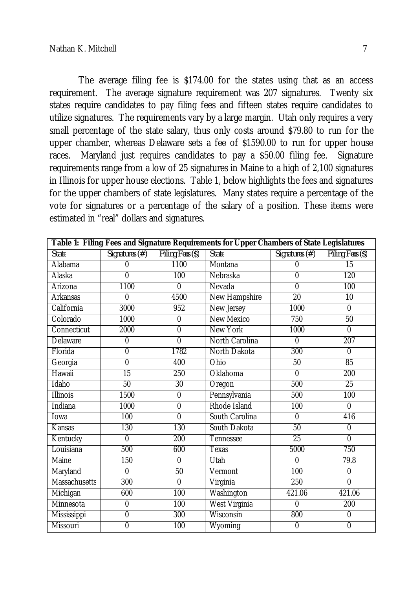The average filing fee is \$174.00 for the states using that as an access requirement. The average signature requirement was 207 signatures. Twenty six states require candidates to pay filing fees and fifteen states require candidates to utilize signatures. The requirements vary by a large margin. Utah only requires a very small percentage of the state salary, thus only costs around \$79.80 to run for the upper chamber, whereas Delaware sets a fee of \$1590.00 to run for upper house races. Maryland just requires candidates to pay a \$50.00 filing fee. Signature requirements range from a low of 25 signatures in Maine to a high of 2,100 signatures in Illinois for upper house elections. Table 1, below highlights the fees and signatures for the upper chambers of state legislatures. Many states require a percentage of the vote for signatures or a percentage of the salary of a position. These items were estimated in "real" dollars and signatures.

| Table 1: Filing Fees and Signature Requirements for Upper Chambers of State Legislatures |                 |                  |                      |                 |                  |  |
|------------------------------------------------------------------------------------------|-----------------|------------------|----------------------|-----------------|------------------|--|
| <b>State</b>                                                                             | Signatures (#)  | Filing Fees (\$) | <b>State</b>         | Signatures (#)  | Filing Fees (\$) |  |
| Alabama                                                                                  | 0               | 1100             | Montana              | $\Omega$        | $\overline{15}$  |  |
| Alaska                                                                                   | 0               | 100              | Nebraska             | $\mathbf 0$     | 120              |  |
| Arizona                                                                                  | 1100            | $\mathbf{0}$     | Nevada               | $\mathbf 0$     | 100              |  |
| <b>Arkansas</b>                                                                          | 0               | 4500             | New Hampshire        | $\overline{20}$ | 10               |  |
| California                                                                               | 3000            | 952              | New Jersey           | 1000            | $\mathbf 0$      |  |
| Colorado                                                                                 | 1000            | 0                | <b>New Mexico</b>    | 750             | 50               |  |
| Connecticut                                                                              | 2000            | $\overline{0}$   | <b>New York</b>      | 1000            | $\mathbf 0$      |  |
| Delaware                                                                                 | $\overline{0}$  | $\overline{0}$   | North Carolina       | $\mathbf 0$     | 207              |  |
| Florida                                                                                  | $\overline{0}$  | 1782             | North Dakota         | 300             | $\overline{0}$   |  |
| Georgia                                                                                  | $\overline{0}$  | 400              | Ohio                 | 50              | 85               |  |
| Hawaii                                                                                   | $\overline{15}$ | 250              | Oklahoma             | $\mathbf 0$     | 200              |  |
| Idaho                                                                                    | 50              | 30               | Oregon               | 500             | 25               |  |
| <b>Illinois</b>                                                                          | 1500            | $\overline{0}$   | Pennsylvania         | 500             | 100              |  |
| Indiana                                                                                  | 1000            | $\overline{0}$   | Rhode Island         | 100             | $\overline{0}$   |  |
| Iowa                                                                                     | 100             | $\overline{0}$   | South Carolina       | $\mathbf 0$     | 416              |  |
| Kansas                                                                                   | 130             | 130              | South Dakota         | 50              | $\overline{0}$   |  |
| Kentucky                                                                                 | $\overline{0}$  | 200              | Tennessee            | 25              | $\overline{0}$   |  |
| Louisiana                                                                                | 500             | 600              | Texas                | 5000            | 750              |  |
| <b>Maine</b>                                                                             | 150             | $\mathbf 0$      | Utah                 | $\mathbf{0}$    | 79.8             |  |
| Maryland                                                                                 | 0               | 50               | Vermont              | 100             | 0                |  |
| <b>Massachusetts</b>                                                                     | 300             | $\overline{0}$   | Virginia             | 250             | $\overline{0}$   |  |
| Michigan                                                                                 | 600             | 100              | Washington           | 421.06          | 421.06           |  |
| Minnesota                                                                                | $\overline{0}$  | 100              | <b>West Virginia</b> | $\Omega$        | 200              |  |
| Mississippi                                                                              | $\overline{0}$  | 300              | Wisconsin            | 800             | $\overline{0}$   |  |
| Missouri                                                                                 | $\overline{0}$  | 100              | Wyoming              | $\overline{0}$  | $\overline{0}$   |  |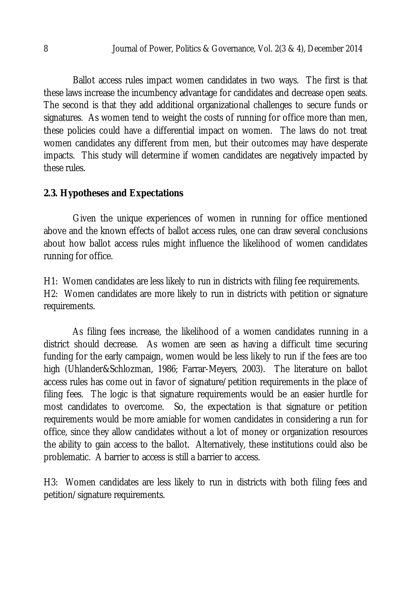Ballot access rules impact women candidates in two ways. The first is that these laws increase the incumbency advantage for candidates and decrease open seats. The second is that they add additional organizational challenges to secure funds or signatures. As women tend to weight the costs of running for office more than men, these policies could have a differential impact on women. The laws do not treat women candidates any different from men, but their outcomes may have desperate impacts. This study will determine if women candidates are negatively impacted by these rules.

## **2.3. Hypotheses and Expectations**

Given the unique experiences of women in running for office mentioned above and the known effects of ballot access rules, one can draw several conclusions about how ballot access rules might influence the likelihood of women candidates running for office.

H1: Women candidates are less likely to run in districts with filing fee requirements. H2: Women candidates are more likely to run in districts with petition or signature requirements.

As filing fees increase, the likelihood of a women candidates running in a district should decrease. As women are seen as having a difficult time securing funding for the early campaign, women would be less likely to run if the fees are too high (Uhlander&Schlozman, 1986; Farrar-Meyers, 2003). The literature on ballot access rules has come out in favor of signature/petition requirements in the place of filing fees. The logic is that signature requirements would be an easier hurdle for most candidates to overcome. So, the expectation is that signature or petition requirements would be more amiable for women candidates in considering a run for office, since they allow candidates without a lot of money or organization resources the ability to gain access to the ballot. Alternatively, these institutions could also be problematic. A barrier to access is still a barrier to access.

H3: Women candidates are less likely to run in districts with both filing fees and petition/signature requirements.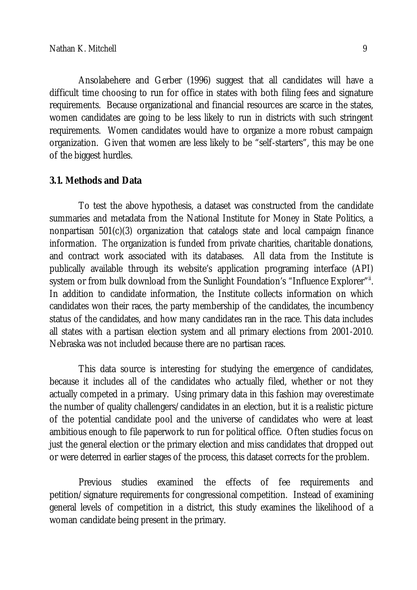Ansolabehere and Gerber (1996) suggest that all candidates will have a difficult time choosing to run for office in states with both filing fees and signature requirements. Because organizational and financial resources are scarce in the states, women candidates are going to be less likely to run in districts with such stringent requirements. Women candidates would have to organize a more robust campaign organization. Given that women are less likely to be "self-starters", this may be one of the biggest hurdles.

### **3.1. Methods and Data**

To test the above hypothesis, a dataset was constructed from the candidate summaries and metadata from the National Institute for Money in State Politics, a nonpartisan 501(c)(3) organization that catalogs state and local campaign finance information. The organization is funded from private charities, charitable donations, and contract work associated with its databases. All data from the Institute is publically available through its website's application programing interface (API) system or from bulk download from the Sunlight Foundation's "Influence Explorer"<sup></sup>". In addition to candidate information, the Institute collects information on which candidates won their races, the party membership of the candidates, the incumbency status of the candidates, and how many candidates ran in the race. This data includes all states with a partisan election system and all primary elections from 2001-2010. Nebraska was not included because there are no partisan races.

This data source is interesting for studying the emergence of candidates, because it includes all of the candidates who actually filed, whether or not they actually competed in a primary. Using primary data in this fashion may overestimate the number of quality challengers/candidates in an election, but it is a realistic picture of the potential candidate pool and the universe of candidates who were at least ambitious enough to file paperwork to run for political office. Often studies focus on just the general election or the primary election and miss candidates that dropped out or were deterred in earlier stages of the process, this dataset corrects for the problem.

Previous studies examined the effects of fee requirements and petition/signature requirements for congressional competition. Instead of examining general levels of competition in a district, this study examines the likelihood of a woman candidate being present in the primary.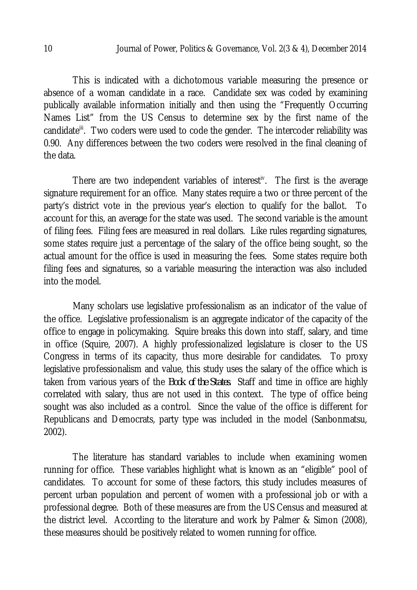This is indicated with a dichotomous variable measuring the presence or absence of a woman candidate in a race. Candidate sex was coded by examining publically available information initially and then using the "Frequently Occurring Names List" from the US Census to determine sex by the first name of the candidate<sup>iii</sup>. Two coders were used to code the gender. The intercoder reliability was 0.90. Any differences between the two coders were resolved in the final cleaning of the data.

There are two independent variables of interest<sup>iv</sup>. The first is the average signature requirement for an office. Many states require a two or three percent of the party's district vote in the previous year's election to qualify for the ballot. To account for this, an average for the state was used. The second variable is the amount of filing fees. Filing fees are measured in real dollars. Like rules regarding signatures, some states require just a percentage of the salary of the office being sought, so the actual amount for the office is used in measuring the fees. Some states require both filing fees and signatures, so a variable measuring the interaction was also included into the model.

Many scholars use legislative professionalism as an indicator of the value of the office. Legislative professionalism is an aggregate indicator of the capacity of the office to engage in policymaking. Squire breaks this down into staff, salary, and time in office (Squire, 2007). A highly professionalized legislature is closer to the US Congress in terms of its capacity, thus more desirable for candidates. To proxy legislative professionalism and value, this study uses the salary of the office which is taken from various years of the *Book of the States*. Staff and time in office are highly correlated with salary, thus are not used in this context. The type of office being sought was also included as a control. Since the value of the office is different for Republicans and Democrats, party type was included in the model (Sanbonmatsu, 2002).

The literature has standard variables to include when examining women running for office. These variables highlight what is known as an "eligible" pool of candidates. To account for some of these factors, this study includes measures of percent urban population and percent of women with a professional job or with a professional degree. Both of these measures are from the US Census and measured at the district level. According to the literature and work by Palmer & Simon (2008), these measures should be positively related to women running for office.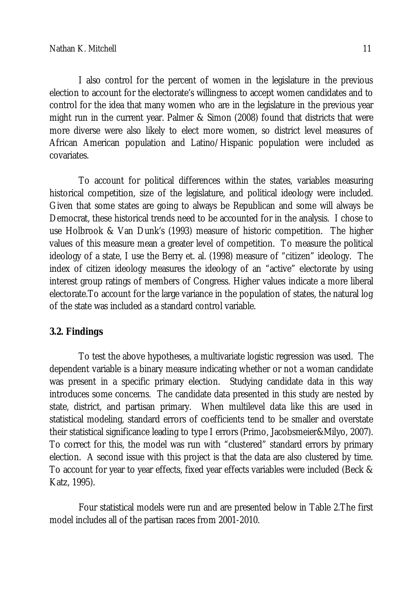I also control for the percent of women in the legislature in the previous election to account for the electorate's willingness to accept women candidates and to control for the idea that many women who are in the legislature in the previous year might run in the current year. Palmer & Simon (2008) found that districts that were more diverse were also likely to elect more women, so district level measures of African American population and Latino/Hispanic population were included as covariates.

To account for political differences within the states, variables measuring historical competition, size of the legislature, and political ideology were included. Given that some states are going to always be Republican and some will always be Democrat, these historical trends need to be accounted for in the analysis. I chose to use Holbrook & Van Dunk's (1993) measure of historic competition. The higher values of this measure mean a greater level of competition. To measure the political ideology of a state, I use the Berry et. al. (1998) measure of "citizen" ideology. The index of citizen ideology measures the ideology of an "active" electorate by using interest group ratings of members of Congress. Higher values indicate a more liberal electorate.To account for the large variance in the population of states, the natural log of the state was included as a standard control variable.

## **3.2. Findings**

To test the above hypotheses, a multivariate logistic regression was used. The dependent variable is a binary measure indicating whether or not a woman candidate was present in a specific primary election. Studying candidate data in this way introduces some concerns. The candidate data presented in this study are nested by state, district, and partisan primary. When multilevel data like this are used in statistical modeling, standard errors of coefficients tend to be smaller and overstate their statistical significance leading to type I errors (Primo, Jacobsmeier&Milyo, 2007). To correct for this, the model was run with "clustered" standard errors by primary election. A second issue with this project is that the data are also clustered by time. To account for year to year effects, fixed year effects variables were included (Beck & Katz, 1995).

Four statistical models were run and are presented below in Table 2.The first model includes all of the partisan races from 2001-2010.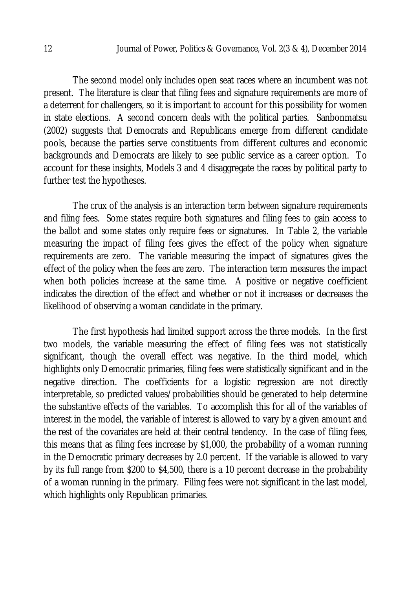The second model only includes open seat races where an incumbent was not present. The literature is clear that filing fees and signature requirements are more of a deterrent for challengers, so it is important to account for this possibility for women in state elections. A second concern deals with the political parties. Sanbonmatsu (2002) suggests that Democrats and Republicans emerge from different candidate pools, because the parties serve constituents from different cultures and economic backgrounds and Democrats are likely to see public service as a career option. To account for these insights, Models 3 and 4 disaggregate the races by political party to further test the hypotheses.

The crux of the analysis is an interaction term between signature requirements and filing fees. Some states require both signatures and filing fees to gain access to the ballot and some states only require fees or signatures. In Table 2, the variable measuring the impact of filing fees gives the effect of the policy when signature requirements are zero. The variable measuring the impact of signatures gives the effect of the policy when the fees are zero. The interaction term measures the impact when both policies increase at the same time. A positive or negative coefficient indicates the direction of the effect and whether or not it increases or decreases the likelihood of observing a woman candidate in the primary.

The first hypothesis had limited support across the three models. In the first two models, the variable measuring the effect of filing fees was not statistically significant, though the overall effect was negative. In the third model, which highlights only Democratic primaries, filing fees were statistically significant and in the negative direction. The coefficients for a logistic regression are not directly interpretable, so predicted values/probabilities should be generated to help determine the substantive effects of the variables. To accomplish this for all of the variables of interest in the model, the variable of interest is allowed to vary by a given amount and the rest of the covariates are held at their central tendency. In the case of filing fees, this means that as filing fees increase by \$1,000, the probability of a woman running in the Democratic primary decreases by 2.0 percent. If the variable is allowed to vary by its full range from \$200 to \$4,500, there is a 10 percent decrease in the probability of a woman running in the primary. Filing fees were not significant in the last model, which highlights only Republican primaries.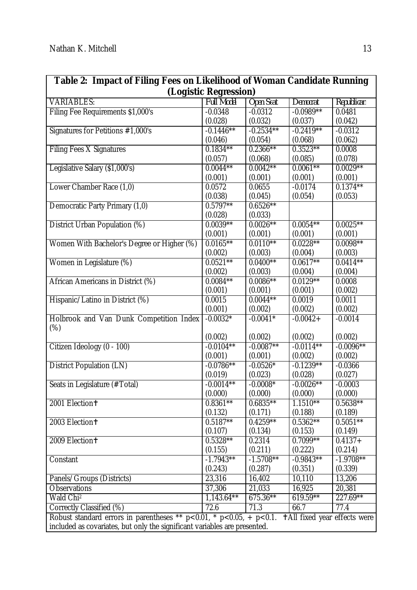| Table 2: Impact of Filing Fees on Likelihood of Woman Candidate Running                                                   |                   |                  |             |             |  |  |
|---------------------------------------------------------------------------------------------------------------------------|-------------------|------------------|-------------|-------------|--|--|
| (Logistic Regression)                                                                                                     |                   |                  |             |             |  |  |
| <b>VARIABLES:</b>                                                                                                         | <b>Full Model</b> | <b>Open Seat</b> | Democrat    | Republican  |  |  |
| Filing Fee Requirements \$1,000's                                                                                         | $-0.0348$         | $-0.0312$        | $-0.0989**$ | 0.0481      |  |  |
|                                                                                                                           | (0.028)           | (0.032)          | (0.037)     | (0.042)     |  |  |
| Signatures for Petitions #1,000's                                                                                         | $-0.1446**$       | $-0.2534**$      | $-0.2419**$ | $-0.0312$   |  |  |
|                                                                                                                           | (0.046)           | (0.054)          | (0.068)     | (0.062)     |  |  |
| <b>Filing Fees X Signatures</b>                                                                                           | $0.1834***$       | $0.2366**$       | $0.3523**$  | 0.0008      |  |  |
|                                                                                                                           | (0.057)           | (0.068)          | (0.085)     | (0.078)     |  |  |
| Legislative Salary (\$1,000's)                                                                                            | $0.0044**$        | $0.0042**$       | $0.0061***$ | $0.0029**$  |  |  |
|                                                                                                                           | (0.001)           | (0.001)          | (0.001)     | (0.001)     |  |  |
| Lower Chamber Race (1,0)                                                                                                  | 0.0572            | 0.0655           | $-0.0174$   | $0.1374***$ |  |  |
|                                                                                                                           | (0.038)           | (0.045)          | (0.054)     | (0.053)     |  |  |
| Democratic Party Primary (1,0)                                                                                            | $0.5797**$        | $0.6526***$      |             |             |  |  |
|                                                                                                                           | (0.028)           | (0.033)          |             |             |  |  |
| District Urban Population (%)                                                                                             | $0.0039**$        | $0.0026***$      | $0.0054***$ | $0.0025***$ |  |  |
|                                                                                                                           | (0.001)           | (0.001)          | (0.001)     | (0.001)     |  |  |
| Women With Bachelor's Degree or Higher (%)                                                                                | $0.0165***$       | $0.0110**$       | $0.0228**$  | $0.0098**$  |  |  |
|                                                                                                                           | (0.002)           | (0.003)          | (0.004)     | (0.003)     |  |  |
| Women in Legislature (%)                                                                                                  | $0.0521***$       | $0.0400**$       | $0.0617**$  | $0.0414***$ |  |  |
|                                                                                                                           | (0.002)           | (0.003)          | (0.004)     | (0.004)     |  |  |
| African Americans in District (%)                                                                                         | $0.0084***$       | $0.0086***$      | $0.0129**$  | 0.0008      |  |  |
|                                                                                                                           | (0.001)           | (0.001)          | (0.001)     | (0.002)     |  |  |
| Hispanic/Latino in District (%)                                                                                           | 0.0015            | $0.0044***$      | 0.0019      | 0.0011      |  |  |
|                                                                                                                           | (0.001)           | (0.002)          | (0.002)     | (0.002)     |  |  |
| Holbrook and Van Dunk Competition Index                                                                                   | $-0.0032*$        | $-0.0041*$       | $-0.0042 +$ | $-0.0014$   |  |  |
| $(\%)$                                                                                                                    |                   |                  |             |             |  |  |
|                                                                                                                           | (0.002)           | (0.002)          | (0.002)     | (0.002)     |  |  |
| Citizen Ideology (0 - 100)                                                                                                | $-0.0104**$       | $-0.0087**$      | $-0.0114**$ | $-0.0096**$ |  |  |
|                                                                                                                           | (0.001)           | (0.001)          | (0.002)     | (0.002)     |  |  |
| <b>District Population (LN)</b>                                                                                           | $-0.0786**$       | $-0.0526*$       | $-0.1239**$ | $-0.0366$   |  |  |
|                                                                                                                           | (0.019)           | (0.023)          | (0.028)     | (0.027)     |  |  |
| Seats in Legislature (#Total)                                                                                             | $-0.0014**$       | $-0.0008*$       | $-0.0026**$ | $-0.0003$   |  |  |
|                                                                                                                           | (0.000)           | (0.000)          | (0.000)     | (0.000)     |  |  |
| 2001 Election+                                                                                                            | $0.8361**$        | $0.6835***$      | $1.1510**$  | $0.5638**$  |  |  |
|                                                                                                                           | (0.132)           | (0.171)          | (0.188)     | (0.189)     |  |  |
| 2003 Election+                                                                                                            | $0.5187**$        | $0.4259**$       | $0.5362**$  | $0.5051***$ |  |  |
|                                                                                                                           | (0.107)           | (0.134)          | (0.153)     | (0.149)     |  |  |
| 2009 Election+                                                                                                            | $0.5328**$        | 0.2314           | $0.7099**$  | $0.4137 +$  |  |  |
|                                                                                                                           | (0.155)           | (0.211)          | (0.222)     | (0.214)     |  |  |
| Constant                                                                                                                  | $-1.7943**$       | $-1.5708**$      | $-0.9843**$ | $-1.9708**$ |  |  |
|                                                                                                                           | (0.243)           | (0.287)          | (0.351)     | (0.339)     |  |  |
| Panels/Groups (Districts)                                                                                                 | 23,316            | 16,402           | 10,110      | 13,206      |  |  |
| Observations                                                                                                              | 37,306            | 21,033           | 16,925      | 20,381      |  |  |
| Wald Chi <sup>2</sup>                                                                                                     | $1,143.64***$     | $675.36***$      | $619.59**$  | 227.69**    |  |  |
| Correctly Classified (%)                                                                                                  | 72.6              | 71.3             | 66.7        | 77.4        |  |  |
| Robust standard errors in parentheses ** $p < 0.01$ , * $p < 0.05$ , + $p < 0.1$ .<br><b>+All fixed year effects were</b> |                   |                  |             |             |  |  |
| included as covariates, but only the significant variables are presented.                                                 |                   |                  |             |             |  |  |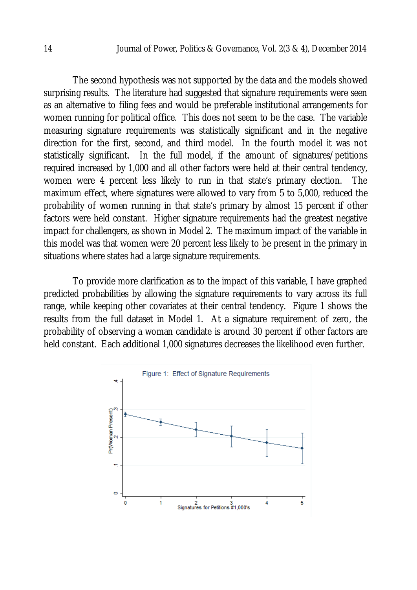The second hypothesis was not supported by the data and the models showed surprising results. The literature had suggested that signature requirements were seen as an alternative to filing fees and would be preferable institutional arrangements for women running for political office. This does not seem to be the case. The variable measuring signature requirements was statistically significant and in the negative direction for the first, second, and third model. In the fourth model it was not statistically significant. In the full model, if the amount of signatures/petitions required increased by 1,000 and all other factors were held at their central tendency, women were 4 percent less likely to run in that state's primary election. The maximum effect, where signatures were allowed to vary from 5 to 5,000, reduced the probability of women running in that state's primary by almost 15 percent if other factors were held constant. Higher signature requirements had the greatest negative impact for challengers, as shown in Model 2. The maximum impact of the variable in this model was that women were 20 percent less likely to be present in the primary in situations where states had a large signature requirements.

To provide more clarification as to the impact of this variable, I have graphed predicted probabilities by allowing the signature requirements to vary across its full range, while keeping other covariates at their central tendency. Figure 1 shows the results from the full dataset in Model 1. At a signature requirement of zero, the probability of observing a woman candidate is around 30 percent if other factors are held constant. Each additional 1,000 signatures decreases the likelihood even further.

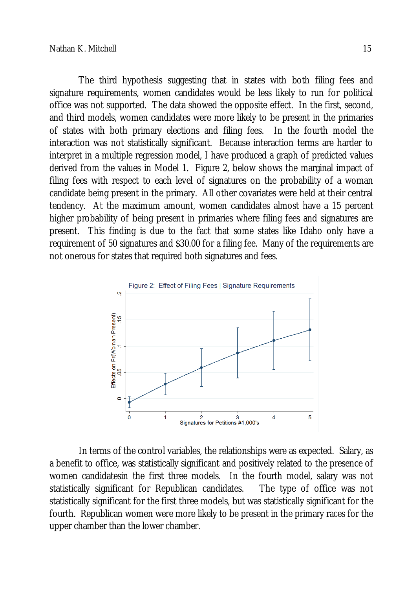The third hypothesis suggesting that in states with both filing fees and signature requirements, women candidates would be less likely to run for political office was not supported. The data showed the opposite effect. In the first, second, and third models, women candidates were more likely to be present in the primaries of states with both primary elections and filing fees. In the fourth model the interaction was not statistically significant. Because interaction terms are harder to interpret in a multiple regression model, I have produced a graph of predicted values derived from the values in Model 1. Figure 2, below shows the marginal impact of filing fees with respect to each level of signatures on the probability of a woman candidate being present in the primary. All other covariates were held at their central tendency. At the maximum amount, women candidates almost have a 15 percent higher probability of being present in primaries where filing fees and signatures are present. This finding is due to the fact that some states like Idaho only have a requirement of 50 signatures and \$30.00 for a filing fee. Many of the requirements are not onerous for states that required both signatures and fees.



In terms of the control variables, the relationships were as expected. Salary, as a benefit to office, was statistically significant and positively related to the presence of women candidatesin the first three models. In the fourth model, salary was not statistically significant for Republican candidates. The type of office was not statistically significant for the first three models, but was statistically significant for the fourth. Republican women were more likely to be present in the primary races for the upper chamber than the lower chamber.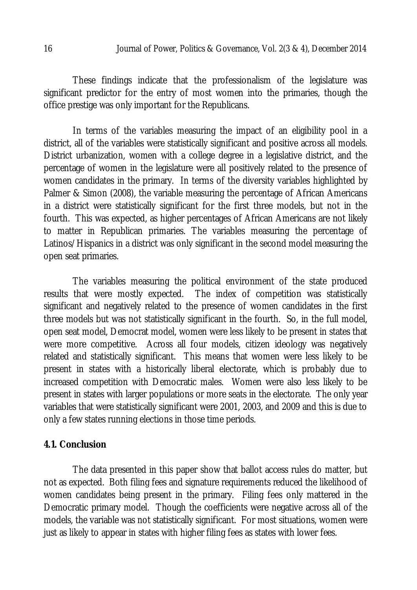These findings indicate that the professionalism of the legislature was significant predictor for the entry of most women into the primaries, though the office prestige was only important for the Republicans.

In terms of the variables measuring the impact of an eligibility pool in a district, all of the variables were statistically significant and positive across all models. District urbanization, women with a college degree in a legislative district, and the percentage of women in the legislature were all positively related to the presence of women candidates in the primary. In terms of the diversity variables highlighted by Palmer & Simon (2008), the variable measuring the percentage of African Americans in a district were statistically significant for the first three models, but not in the fourth. This was expected, as higher percentages of African Americans are not likely to matter in Republican primaries. The variables measuring the percentage of Latinos/Hispanics in a district was only significant in the second model measuring the open seat primaries.

The variables measuring the political environment of the state produced results that were mostly expected. The index of competition was statistically significant and negatively related to the presence of women candidates in the first three models but was not statistically significant in the fourth. So, in the full model, open seat model, Democrat model, women were less likely to be present in states that were more competitive. Across all four models, citizen ideology was negatively related and statistically significant. This means that women were less likely to be present in states with a historically liberal electorate, which is probably due to increased competition with Democratic males. Women were also less likely to be present in states with larger populations or more seats in the electorate. The only year variables that were statistically significant were 2001, 2003, and 2009 and this is due to only a few states running elections in those time periods.

#### **4.1. Conclusion**

The data presented in this paper show that ballot access rules do matter, but not as expected. Both filing fees and signature requirements reduced the likelihood of women candidates being present in the primary. Filing fees only mattered in the Democratic primary model. Though the coefficients were negative across all of the models, the variable was not statistically significant. For most situations, women were just as likely to appear in states with higher filing fees as states with lower fees.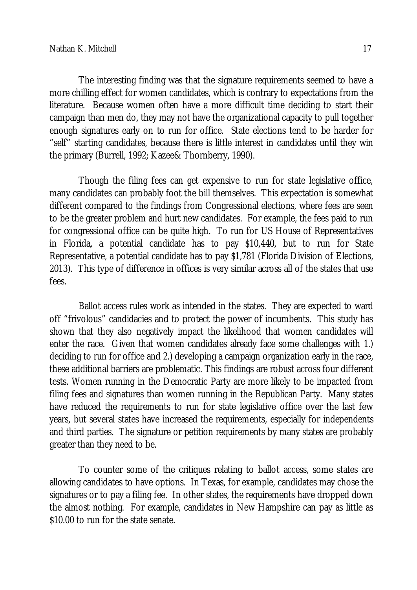The interesting finding was that the signature requirements seemed to have a more chilling effect for women candidates, which is contrary to expectations from the literature. Because women often have a more difficult time deciding to start their campaign than men do, they may not have the organizational capacity to pull together enough signatures early on to run for office. State elections tend to be harder for "self" starting candidates, because there is little interest in candidates until they win the primary (Burrell, 1992; Kazee& Thornberry, 1990).

Though the filing fees can get expensive to run for state legislative office, many candidates can probably foot the bill themselves. This expectation is somewhat different compared to the findings from Congressional elections, where fees are seen to be the greater problem and hurt new candidates. For example, the fees paid to run for congressional office can be quite high. To run for US House of Representatives in Florida, a potential candidate has to pay \$10,440, but to run for State Representative, a potential candidate has to pay \$1,781 (Florida Division of Elections, 2013). This type of difference in offices is very similar across all of the states that use fees.

Ballot access rules work as intended in the states. They are expected to ward off "frivolous" candidacies and to protect the power of incumbents. This study has shown that they also negatively impact the likelihood that women candidates will enter the race. Given that women candidates already face some challenges with 1.) deciding to run for office and 2.) developing a campaign organization early in the race, these additional barriers are problematic. This findings are robust across four different tests. Women running in the Democratic Party are more likely to be impacted from filing fees and signatures than women running in the Republican Party. Many states have reduced the requirements to run for state legislative office over the last few years, but several states have increased the requirements, especially for independents and third parties. The signature or petition requirements by many states are probably greater than they need to be.

To counter some of the critiques relating to ballot access, some states are allowing candidates to have options. In Texas, for example, candidates may chose the signatures or to pay a filing fee. In other states, the requirements have dropped down the almost nothing. For example, candidates in New Hampshire can pay as little as \$10.00 to run for the state senate.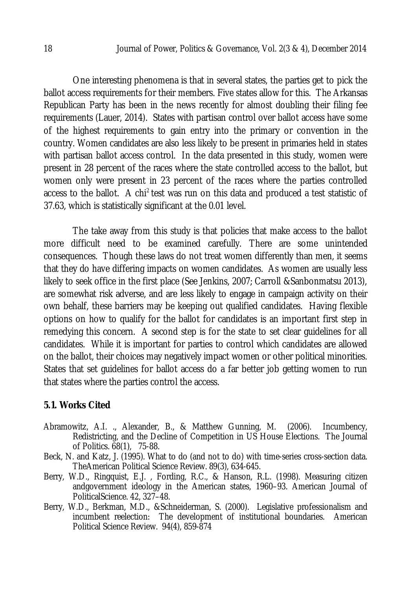One interesting phenomena is that in several states, the parties get to pick the ballot access requirements for their members. Five states allow for this. The Arkansas Republican Party has been in the news recently for almost doubling their filing fee requirements (Lauer, 2014). States with partisan control over ballot access have some of the highest requirements to gain entry into the primary or convention in the country. Women candidates are also less likely to be present in primaries held in states with partisan ballot access control. In the data presented in this study, women were present in 28 percent of the races where the state controlled access to the ballot, but women only were present in 23 percent of the races where the parties controlled access to the ballot. A chi<sup>2</sup> test was run on this data and produced a test statistic of 37.63, which is statistically significant at the 0.01 level.

The take away from this study is that policies that make access to the ballot more difficult need to be examined carefully. There are some unintended consequences. Though these laws do not treat women differently than men, it seems that they do have differing impacts on women candidates. As women are usually less likely to seek office in the first place (See Jenkins, 2007; Carroll &Sanbonmatsu 2013), are somewhat risk adverse, and are less likely to engage in campaign activity on their own behalf, these barriers may be keeping out qualified candidates. Having flexible options on how to qualify for the ballot for candidates is an important first step in remedying this concern. A second step is for the state to set clear guidelines for all candidates. While it is important for parties to control which candidates are allowed on the ballot, their choices may negatively impact women or other political minorities. States that set guidelines for ballot access do a far better job getting women to run that states where the parties control the access.

### **5.1. Works Cited**

- Abramowitz, A.I. ., Alexander, B., & Matthew Gunning, M. (2006). Incumbency, Redistricting, and the Decline of Competition in US House Elections. The Journal of Politics. 68(1), 75-88.
- Beck, N. and Katz, J. (1995). What to do (and not to do) with time-series cross-section data. TheAmerican Political Science Review. 89(3), 634-645.
- Berry, W.D., Ringquist, E.J. , Fording, R.C., & Hanson, R.L. (1998). Measuring citizen andgovernment ideology in the American states, 1960–93. American Journal of PoliticalScience. 42, 327–48.
- Berry, W.D., Berkman, M.D., &Schneiderman, S. (2000). Legislative professionalism and incumbent reelection: The development of institutional boundaries. American Political Science Review. 94(4), 859-874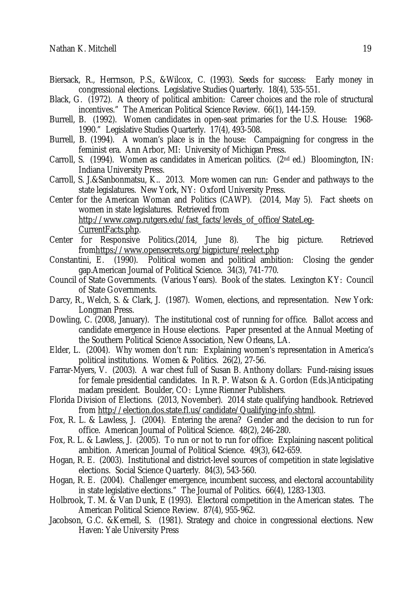- Biersack, R., Herrnson, P.S., &Wilcox, C. (1993). Seeds for success: Early money in congressional elections. Legislative Studies Quarterly. 18(4), 535-551.
- Black, G. (1972). A theory of political ambition: Career choices and the role of structural incentives." The American Political Science Review. 66(1), 144-159.
- Burrell, B. (1992). Women candidates in open-seat primaries for the U.S. House: 1968- 1990." Legislative Studies Quarterly. 17(4), 493-508.
- Burrell, B. (1994). A woman's place is in the house: Campaigning for congress in the feminist era. Ann Arbor, MI: University of Michigan Press.
- Carroll, S. (1994). Women as candidates in American politics. ( $2<sup>nd</sup>$  ed.) Bloomington, IN: Indiana University Press.
- Carroll, S. J.&Sanbonmatsu, K.. 2013. More women can run: Gender and pathways to the state legislatures. New York, NY: Oxford University Press.
- Center for the American Woman and Politics (CAWP). (2014, May 5). Fact sheets on women in state legislatures. Retrieved from http://www.cawp.rutgers.edu/fast\_facts/levels\_of\_office/StateLeg-CurrentFacts.php.
- Center for Responsive Politics.(2014, June 8). The big picture. Retrieved fromhttps://www.opensecrets.org/bigpicture/reelect.php
- Constantini, E. (1990). Political women and political ambition: Closing the gender gap.American Journal of Political Science. 34(3), 741-770.
- Council of State Governments. (Various Years). Book of the states. Lexington KY: Council of State Governments.
- Darcy, R., Welch, S. & Clark, J. (1987). Women, elections, and representation. New York: Longman Press.
- Dowling, C. (2008, January). The institutional cost of running for office. Ballot access and candidate emergence in House elections. Paper presented at the Annual Meeting of the Southern Political Science Association, New Orleans, LA.
- Elder, L. (2004). Why women don't run: Explaining women's representation in America's political institutions. Women & Politics. 26(2), 27-56.
- Farrar-Myers, V. (2003). A war chest full of Susan B. Anthony dollars: Fund-raising issues for female presidential candidates. In R. P. Watson & A. Gordon (Eds.)Anticipating madam president. Boulder, CO: Lynne Rienner Publishers.
- Florida Division of Elections. (2013, November). 2014 state qualifying handbook. Retrieved from http://election.dos.state.fl.us/candidate/Qualifying-info.shtml.
- Fox, R. L. & Lawless, J. (2004). Entering the arena? Gender and the decision to run for office. American Journal of Political Science. 48(2), 246-280.
- Fox, R. L. & Lawless, J. (2005). To run or not to run for office: Explaining nascent political ambition. American Journal of Political Science. 49(3), 642-659.
- Hogan, R. E. (2003). Institutional and district-level sources of competition in state legislative elections. Social Science Quarterly. 84(3), 543-560.
- Hogan, R. E. (2004). Challenger emergence, incumbent success, and electoral accountability in state legislative elections." The Journal of Politics. 66(4), 1283-1303.
- Holbrook, T. M. & Van Dunk, E (1993). Electoral competition in the American states. The American Political Science Review. 87(4), 955-962.
- Jacobson, G.C. &Kernell, S. (1981). Strategy and choice in congressional elections. New Haven: Yale University Press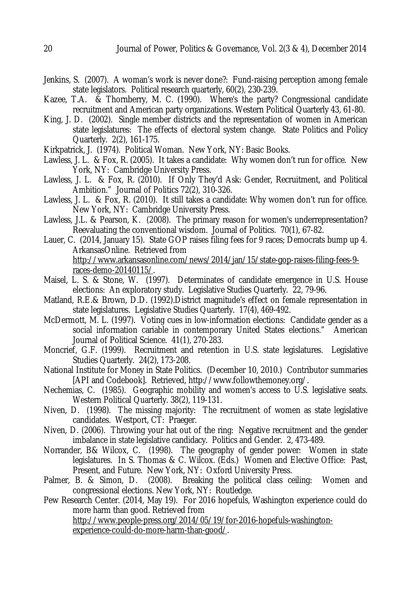- Jenkins, S. (2007). A woman's work is never done?: Fund-raising perception among female state legislators. Political research quarterly, 60(2), 230-239.
- Kazee, T.A. & Thornberry, M. C. (1990). Where's the party? Congressional candidate recruitment and American party organizations. Western Political Quarterly 43, 61-80.
- King, J. D. (2002). Single member districts and the representation of women in American state legislatures: The effects of electoral system change. State Politics and Policy Quarterly. 2(2), 161-175.
- Kirkpatrick, J. (1974). Political Woman. New York, NY: Basic Books.
- Lawless, J. L. & Fox, R. (2005). It takes a candidate: Why women don't run for office. New York, NY: Cambridge University Press.
- Lawless, J. L. & Fox, R. (2010). If Only They'd Ask: Gender, Recruitment, and Political Ambition." Journal of Politics 72(2), 310-326.
- Lawless, J. L. & Fox, R. (2010). It still takes a candidate: Why women don't run for office. New York, NY: Cambridge University Press.
- Lawless, J.L. & Pearson, K. (2008). The primary reason for women's underrepresentation? Reevaluating the conventional wisdom. Journal of Politics. 70(1), 67-82.
- Lauer, C. (2014, January 15). State GOP raises filing fees for 9 races; Democrats bump up 4. ArkansasOnline. Retrieved from http://www.arkansasonline.com/news/2014/jan/15/state-gop-raises-filing-fees-9 races-demo-20140115/.
- Maisel, L. S. & Stone, W. (1997). Determinates of candidate emergence in U.S. House elections: An exploratory study. Legislative Studies Quarterly. 22, 79-96.
- Matland, R.E.& Brown, D.D. (1992).District magnitude's effect on female representation in state legislatures. Legislative Studies Quarterly. 17(4), 469-492.
- McDermott, M. L. (1997). Voting cues in low-information elections: Candidate gender as a social information cariable in contemporary United States elections." American Journal of Political Science. 41(1), 270-283.
- Moncrief, G.F. (1999). Recruitment and retention in U.S. state legislatures. Legislative Studies Quarterly. 24(2), 173-208.
- National Institute for Money in State Politics. (December 10, 2010.) Contributor summaries [API and Codebook]. Retrieved, http://www.followthemoney.org/.
- Nechemias, C. (1985). Geographic mobility and women's access to U.S. legislative seats. Western Political Quarterly. 38(2), 119-131.
- Niven, D. (1998). The missing majority: The recruitment of women as state legislative candidates. Westport, CT: Praeger.
- Niven, D. (2006). Throwing your hat out of the ring: Negative recruitment and the gender imbalance in state legislative candidacy. Politics and Gender. 2, 473-489.
- Norrander, B& Wilcox, C. (1998). The geography of gender power: Women in state legislatures. In S. Thomas & C. Wilcox. (Eds.) Women and Elective Office: Past, Present, and Future. New York, NY: Oxford University Press.
- Palmer, B. & Simon, D. (2008). Breaking the political class ceiling: Women and congressional elections. New York, NY: Routledge.
- Pew Research Center. (2014, May 19). For 2016 hopefuls, Washington experience could do more harm than good. Retrieved from http://www.people-press.org/2014/05/19/for-2016-hopefuls-washingtonexperience-could-do-more-harm-than-good/.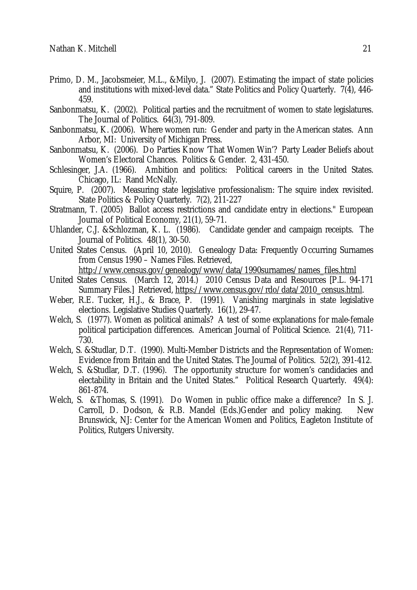- Primo, D. M., Jacobsmeier, M.L., &Milyo, J. (2007). Estimating the impact of state policies and institutions with mixed-level data." State Politics and Policy Quarterly. 7(4), 446- 459.
- Sanbonmatsu, K. (2002). Political parties and the recruitment of women to state legislatures. The Journal of Politics. 64(3), 791-809.
- Sanbonmatsu, K. (2006). Where women run: Gender and party in the American states. Ann Arbor, MI: University of Michigan Press.
- Sanbonmatsu, K. (2006). Do Parties Know 'That Women Win'? Party Leader Beliefs about Women's Electoral Chances. Politics & Gender. 2, 431-450.
- Schlesinger, J.A. (1966). Ambition and politics: Political careers in the United States. Chicago, IL: Rand McNally.
- Squire, P. (2007). Measuring state legislative professionalism: The squire index revisited. State Politics & Policy Quarterly. 7(2), 211-227
- Stratmann, T. (2005) Ballot access restrictions and candidate entry in elections." European Journal of Political Economy, 21(1), 59-71.
- Uhlander, C.J. &Schlozman, K. L. (1986). Candidate gender and campaign receipts. The Journal of Politics. 48(1), 30-50.
- United States Census. (April 10, 2010). Genealogy Data: Frequently Occurring Surnames from Census 1990 – Names Files. Retrieved,

http://www.census.gov/genealogy/www/data/1990surnames/names\_files.html

- United States Census. (March 12, 2014.) 2010 Census Data and Resources [P.L. 94-171 Summary Files.] Retrieved, https://www.census.gov/rdo/data/2010\_census.html.
- Weber, R.E. Tucker, H.J., & Brace, P. (1991). Vanishing marginals in state legislative elections. Legislative Studies Quarterly. 16(1), 29-47.
- Welch, S. (1977). Women as political animals? A test of some explanations for male-female political participation differences. American Journal of Political Science. 21(4), 711- 730.
- Welch, S. &Studlar, D.T. (1990). Multi-Member Districts and the Representation of Women: Evidence from Britain and the United States. The Journal of Politics. 52(2), 391-412.
- Welch, S. &Studlar, D.T. (1996). The opportunity structure for women's candidacies and electability in Britain and the United States." Political Research Quarterly. 49(4): 861-874.
- Welch, S. &Thomas, S. (1991). Do Women in public office make a difference? In S. J. Carroll, D. Dodson, & R.B. Mandel (Eds.)Gender and policy making. New Brunswick, NJ: Center for the American Women and Politics, Eagleton Institute of Politics, Rutgers University.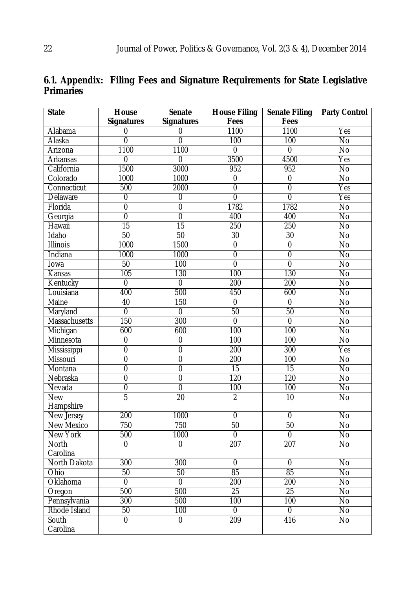| 6.1. Appendix: Filing Fees and Signature Requirements for State Legislative |  |  |  |
|-----------------------------------------------------------------------------|--|--|--|
| <b>Primaries</b>                                                            |  |  |  |

| <b>State</b>         | House             | <b>Senate</b>     | <b>House Filing</b> | <b>Senate Filing</b> | <b>Party Control</b> |
|----------------------|-------------------|-------------------|---------------------|----------------------|----------------------|
|                      | <b>Signatures</b> | <b>Signatures</b> | Fees                | Fees                 |                      |
| Alabama              | $\pmb{0}$         | 0                 | 1100                | 1100                 | Yes                  |
| Alaska               | $\overline{0}$    | $\overline{0}$    | 100                 | 100                  | $\overline{N}$       |
| Arizona              | 1100              | 1100              | $\overline{0}$      | $\overline{0}$       | $\overline{N}$       |
| <b>Arkansas</b>      | 0                 | $\overline{0}$    | 3500                | 4500                 | Yes                  |
| California           | 1500              | 3000              | 952                 | 952                  | <b>No</b>            |
| Colorado             | 1000              | 1000              | $\overline{0}$      | $\overline{0}$       | $\overline{N}$       |
| Connecticut          | 500               | 2000              | $\overline{0}$      | $\overline{0}$       | Yes                  |
| Delaware             | $\mathbf 0$       | $\pmb{0}$         | $\overline{0}$      | $\overline{0}$       | Yes                  |
| Florida              | $\overline{0}$    | $\overline{0}$    | 1782                | 1782                 | $\overline{N}$       |
| Georgia              | $\overline{0}$    | $\overline{0}$    | 400                 | 400                  | <b>No</b>            |
| Hawaii               | $\overline{15}$   | 15                | 250                 | 250                  | <b>No</b>            |
| Idaho                | 50                | 50                | $\overline{30}$     | 30                   | $\overline{N}$       |
| <b>Illinois</b>      | 1000              | 1500              | $\overline{0}$      | $\overline{0}$       | $\overline{N}$       |
| Indiana              | 1000              | 1000              | $\overline{0}$      | $\overline{0}$       | $\overline{N}$       |
| Iowa                 | 50                | 100               | $\overline{0}$      | $\overline{0}$       | $\overline{N}$       |
| Kansas               | 105               | 130               | 100                 | 130                  | $\overline{N}$       |
| Kentucky             | $\overline{0}$    | $\overline{0}$    | 200                 | 200                  | $\overline{N}$       |
| Louisiana            | 400               | 500               | 450                 | 600                  | $\overline{N}$       |
| <b>Maine</b>         | 40                | 150               | $\overline{0}$      | 0                    | $\overline{N}$       |
| Maryland             | $\overline{0}$    | $\overline{0}$    | 50                  | 50                   | $\overline{N}$       |
| <b>Massachusetts</b> | 150               | 300               | $\overline{0}$      | $\overline{0}$       | $\overline{N}$       |
| Michigan             | 600               | 600               | 100                 | 100                  | $\overline{N}$       |
| Minnesota            | $\overline{0}$    | $\overline{0}$    | 100                 | 100                  | <b>No</b>            |
| Mississippi          | $\overline{0}$    | $\overline{0}$    | 200                 | 300                  | Yes                  |
| Missouri             | $\overline{0}$    | $\overline{0}$    | 200                 | 100                  | $\overline{N}$       |
| Montana              | $\overline{0}$    | $\overline{0}$    | 15                  | 15                   | $\overline{N}$       |
| Nebraska             | $\overline{0}$    | $\overline{0}$    | 120                 | 120                  | $\overline{N}$       |
| Nevada               | $\overline{0}$    | $\overline{0}$    | 100                 | 100                  | No                   |
| <b>New</b>           | $\overline{5}$    | $\overline{20}$   | $\overline{2}$      | 10                   | No                   |
| Hampshire            |                   |                   |                     |                      |                      |
| New Jersey           | 200               | 1000              | $\mathbf 0$         | $\mathbf 0$          | <b>No</b>            |
| <b>New Mexico</b>    | 750               | 750               | 50                  | 50                   | N <sub>0</sub>       |
| <b>New York</b>      | 500               | 1000              | $\overline{0}$      | $\overline{0}$       | $\overline{N}$       |
| North                | $\overline{0}$    | $\overline{0}$    | 207                 | 207                  | $\overline{N}$       |
| Carolina             |                   |                   |                     |                      |                      |
| North Dakota         | 300               | 300               | $\overline{0}$      | $\overline{0}$       | $\overline{N}$       |
| Ohio                 | 50                | 50                | 85                  | 85                   | No.                  |
| Oklahoma             | $\overline{0}$    | $\overline{0}$    | 200                 | 200                  | No                   |
| Oregon               | 500               | 500               | 25                  | 25                   | $\overline{N}$       |
| Pennsylvania         | 300               | 500               | 100                 | 100                  | $\overline{N}$       |
| Rhode Island         | 50                | 100               | 0                   | 0                    | No                   |
| South                | $\overline{0}$    | $\overline{0}$    | 209                 | 416                  | No                   |
| Carolina             |                   |                   |                     |                      |                      |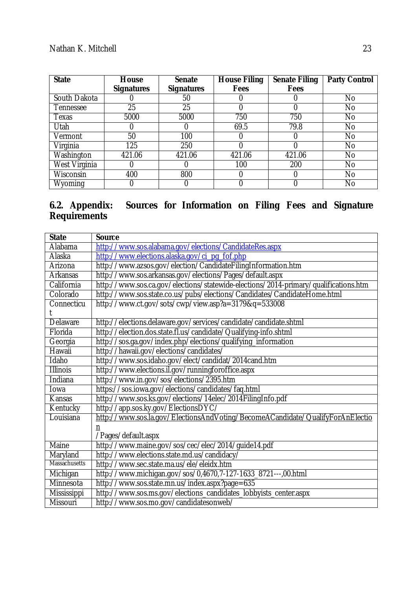| <b>State</b>  | House             | <b>Senate</b>     | <b>House Filing</b> | <b>Senate Filing</b> | <b>Party Control</b> |
|---------------|-------------------|-------------------|---------------------|----------------------|----------------------|
|               | <b>Signatures</b> | <b>Signatures</b> | Fees                | Fees                 |                      |
| South Dakota  |                   | 50                |                     |                      | No.                  |
| Tennessee     | 25                | 25                |                     |                      | No                   |
| Texas         | 5000              | 5000              | 750                 | 750                  | No                   |
| Utah          |                   |                   | 69.5                | 79.8                 | No.                  |
| Vermont       | 50                | 100               |                     |                      | No.                  |
| Virginia      | 125               | 250               |                     |                      | No.                  |
| Washington    | 421.06            | 421.06            | 421.06              | 421.06               | No.                  |
| West Virginia | 0                 | O                 | 100                 | 200                  | No.                  |
| Wisconsin     | 400               | 800               | O                   |                      | No.                  |
| Wyoming       |                   | U                 |                     |                      | No                   |

### **6.2. Appendix: Sources for Information on Filing Fees and Signature Requirements**

| <b>State</b>         | <b>Source</b>                                                                       |
|----------------------|-------------------------------------------------------------------------------------|
| Alabama              | http://www.sos.alabama.gov/elections/CandidateRes.aspx                              |
| Alaska               | http://www.elections.alaska.gov/ci_pg_fof.php                                       |
| Arizona              | http://www.azsos.gov/election/CandidateFilingInformation.htm                        |
| Arkansas             | http://www.sos.arkansas.gov/elections/Pages/default.aspx                            |
| California           | http://www.sos.ca.gov/elections/statewide-elections/2014-primary/qualifications.htm |
| Colorado             | http://www.sos.state.co.us/pubs/elections/Candidates/CandidateHome.html             |
| Connecticu           | http://www.ct.gov/sots/cwp/view.asp?a=3179&q=533008                                 |
|                      |                                                                                     |
| Delaware             | http://elections.delaware.gov/services/candidate/candidate.shtml                    |
| Florida              | http://election.dos.state.fl.us/candidate/Qualifying-info.shtml                     |
| Georgia              | http://sos.ga.gov/index.php/elections/qualifying_information                        |
| Hawaii               | http://hawaii.gov/elections/candidates/                                             |
| Idaho                | http://www.sos.idaho.gov/elect/candidat/2014cand.htm                                |
| <b>Illinois</b>      | http://www.elections.il.gov/runningforoffice.aspx                                   |
| <b>Indiana</b>       | http://www.in.gov/sos/elections/2395.htm                                            |
| Iowa                 | https://sos.iowa.gov/elections/candidates/faq.html                                  |
| Kansas               | http://www.sos.ks.gov/elections/14elec/2014FilingInfo.pdf                           |
| Kentucky             | http://app.sos.ky.gov/ElectionsDYC/                                                 |
| Louisiana            | http://www.sos.la.gov/ElectionsAndVoting/BecomeACandidate/QualifyForAnElectio       |
|                      | n                                                                                   |
|                      | /Pages/default.aspx                                                                 |
| <b>Maine</b>         | http://www.maine.gov/sos/cec/elec/2014/guide14.pdf                                  |
| Maryland             | http://www.elections.state.md.us/candidacy/                                         |
| <b>Massachusetts</b> | http://www.sec.state.ma.us/ele/eleidx.htm                                           |
| Michigan             | http://www.michigan.gov/sos/0,4670,7-127-1633_8721---,00.html                       |
| Minnesota            | http://www.sos.state.mn.us/index.aspx?page=635                                      |
| Mississippi          | http://www.sos.ms.gov/elections_candidates_lobbyists_center.aspx                    |
| Missouri             | http://www.sos.mo.gov/candidatesonweb/                                              |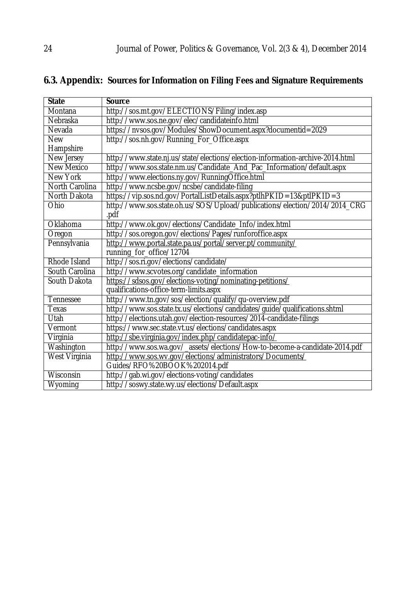| <b>State</b>         | <b>Source</b>                                                                 |
|----------------------|-------------------------------------------------------------------------------|
| Montana              | http://sos.mt.gov/ELECTIONS/Filing/index.asp                                  |
| Nebraska             | http://www.sos.ne.gov/elec/candidateinfo.html                                 |
| Nevada               | https://nvsos.gov/Modules/ShowDocument.aspx?documentid=2029                   |
| <b>New</b>           | http://sos.nh.gov/Running_For_Office.aspx                                     |
| Hampshire            |                                                                               |
| New Jersey           | http://www.state.nj.us/state/elections/election-information-archive-2014.html |
| <b>New Mexico</b>    | http://www.sos.state.nm.us/Candidate_And_Pac_Information/default.aspx         |
| New York             | http://www.elections.ny.gov/RunningOffice.html                                |
| North Carolina       | http://www.ncsbe.gov/ncsbe/candidate-filing                                   |
| North Dakota         | https://vip.sos.nd.gov/PortalListDetails.aspx?ptlhPKID=13&ptlPKID=3           |
| Ohio                 | http://www.sos.state.oh.us/SOS/Upload/publications/election/2014/2014_CRG     |
|                      | .pdf                                                                          |
| Oklahoma             | http://www.ok.gov/elections/Candidate_Info/index.html                         |
| Oregon               | http://sos.oregon.gov/elections/Pages/runforoffice.aspx                       |
| Pennsylvania         | http://www.portal.state.pa.us/portal/server.pt/community/                     |
|                      | running_for_office/12704                                                      |
| Rhode Island         | http://sos.ri.gov/elections/candidate/                                        |
| South Carolina       | http://www.scvotes.org/candidate_information                                  |
| South Dakota         | https://sdsos.gov/elections-voting/nominating-petitions/                      |
|                      | qualifications-office-term-limits.aspx                                        |
| Tennessee            | http://www.tn.gov/sos/election/qualify/qu-overview.pdf                        |
| Texas                | http://www.sos.state.tx.us/elections/candidates/guide/qualifications.shtml    |
| Utah                 | http://elections.utah.gov/election-resources/2014-candidate-filings           |
| Vermont              | https://www.sec.state.vt.us/elections/candidates.aspx                         |
| Virginia             | http://sbe.virginia.gov/index.php/candidatepac-info/                          |
| Washington           | http://www.sos.wa.gov/_assets/elections/How-to-become-a-candidate-2014.pdf    |
| <b>West Virginia</b> | http://www.sos.wv.gov/elections/administrators/Documents/                     |
|                      | Guides/RFO%20BOOK%202014.pdf                                                  |
| Wisconsin            | http://gab.wi.gov/elections-voting/candidates                                 |
| Wyoming              | http://soswy.state.wy.us/elections/Default.aspx                               |

# **6.3. Appendix: Sources for Information on Filing Fees and Signature Requirements**